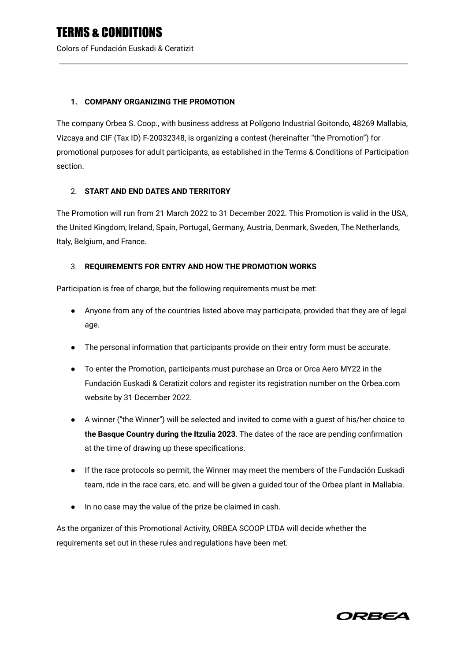Colors of Fundación Euskadi & Ceratizit

### **1. COMPANY ORGANIZING THE PROMOTION**

The company Orbea S. Coop., with business address at Polígono Industrial Goitondo, 48269 Mallabia, Vizcaya and CIF (Tax ID) F-20032348, is organizing a contest (hereinafter "the Promotion") for promotional purposes for adult participants, as established in the Terms & Conditions of Participation section.

### 2. **START AND END DATES AND TERRITORY**

The Promotion will run from 21 March 2022 to 31 December 2022. This Promotion is valid in the USA, the United Kingdom, Ireland, Spain, Portugal, Germany, Austria, Denmark, Sweden, The Netherlands, Italy, Belgium, and France.

### 3. **REQUIREMENTS FOR ENTRY AND HOW THE PROMOTION WORKS**

Participation is free of charge, but the following requirements must be met:

- Anyone from any of the countries listed above may participate, provided that they are of legal age.
- The personal information that participants provide on their entry form must be accurate.
- To enter the Promotion, participants must purchase an Orca or Orca Aero MY22 in the Fundación Euskadi & Ceratizit colors and register its registration number on the Orbea.com website by 31 December 2022.
- A winner ("the Winner") will be selected and invited to come with a guest of his/her choice to **the Basque Country during the Itzulia 2023**. The dates of the race are pending confirmation at the time of drawing up these specifications.
- If the race protocols so permit, the Winner may meet the members of the Fundación Euskadi team, ride in the race cars, etc. and will be given a guided tour of the Orbea plant in Mallabia.
- In no case may the value of the prize be claimed in cash.

As the organizer of this Promotional Activity, ORBEA SCOOP LTDA will decide whether the requirements set out in these rules and regulations have been met.

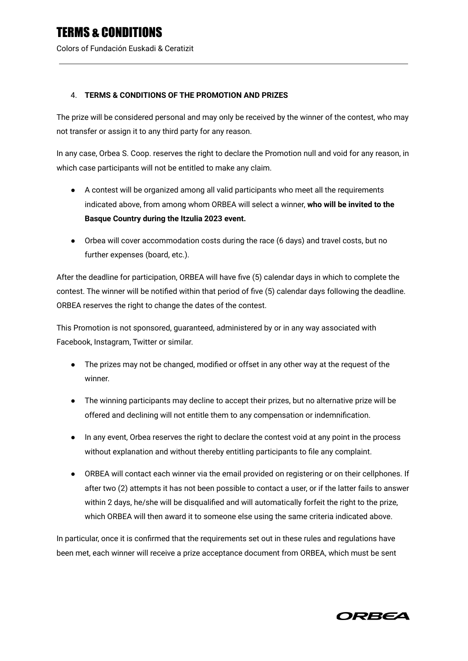Colors of Fundación Euskadi & Ceratizit

### 4. **TERMS & CONDITIONS OF THE PROMOTION AND PRIZES**

The prize will be considered personal and may only be received by the winner of the contest, who may not transfer or assign it to any third party for any reason.

In any case, Orbea S. Coop. reserves the right to declare the Promotion null and void for any reason, in which case participants will not be entitled to make any claim.

- **●** A contest will be organized among all valid participants who meet all the requirements indicated above, from among whom ORBEA will select a winner, **who will be invited to the Basque Country during the Itzulia 2023 event.**
- Orbea will cover accommodation costs during the race (6 days) and travel costs, but no further expenses (board, etc.).

After the deadline for participation, ORBEA will have five (5) calendar days in which to complete the contest. The winner will be notified within that period of five (5) calendar days following the deadline. ORBEA reserves the right to change the dates of the contest.

This Promotion is not sponsored, guaranteed, administered by or in any way associated with Facebook, Instagram, Twitter or similar.

- The prizes may not be changed, modified or offset in any other way at the request of the winner.
- The winning participants may decline to accept their prizes, but no alternative prize will be offered and declining will not entitle them to any compensation or indemnification.
- In any event, Orbea reserves the right to declare the contest void at any point in the process without explanation and without thereby entitling participants to file any complaint.
- ORBEA will contact each winner via the email provided on registering or on their cellphones. If after two (2) attempts it has not been possible to contact a user, or if the latter fails to answer within 2 days, he/she will be disqualified and will automatically forfeit the right to the prize, which ORBEA will then award it to someone else using the same criteria indicated above.

In particular, once it is confirmed that the requirements set out in these rules and regulations have been met, each winner will receive a prize acceptance document from ORBEA, which must be sent

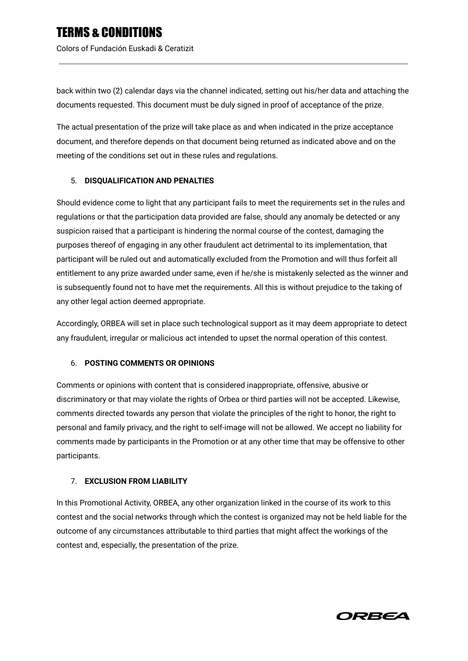back within two (2) calendar days via the channel indicated, setting out his/her data and attaching the documents requested. This document must be duly signed in proof of acceptance of the prize.

The actual presentation of the prize will take place as and when indicated in the prize acceptance document, and therefore depends on that document being returned as indicated above and on the meeting of the conditions set out in these rules and regulations.

## 5. **DISQUALIFICATION AND PENALTIES**

Should evidence come to light that any participant fails to meet the requirements set in the rules and regulations or that the participation data provided are false, should any anomaly be detected or any suspicion raised that a participant is hindering the normal course of the contest, damaging the purposes thereof of engaging in any other fraudulent act detrimental to its implementation, that participant will be ruled out and automatically excluded from the Promotion and will thus forfeit all entitlement to any prize awarded under same, even if he/she is mistakenly selected as the winner and is subsequently found not to have met the requirements. All this is without prejudice to the taking of any other legal action deemed appropriate.

Accordingly, ORBEA will set in place such technological support as it may deem appropriate to detect any fraudulent, irregular or malicious act intended to upset the normal operation of this contest.

#### 6. **POSTING COMMENTS OR OPINIONS**

Comments or opinions with content that is considered inappropriate, offensive, abusive or discriminatory or that may violate the rights of Orbea or third parties will not be accepted. Likewise, comments directed towards any person that violate the principles of the right to honor, the right to personal and family privacy, and the right to self-image will not be allowed. We accept no liability for comments made by participants in the Promotion or at any other time that may be offensive to other participants.

## 7. **EXCLUSION FROM LIABILITY**

In this Promotional Activity, ORBEA, any other organization linked in the course of its work to this contest and the social networks through which the contest is organized may not be held liable for the outcome of any circumstances attributable to third parties that might affect the workings of the contest and, especially, the presentation of the prize.

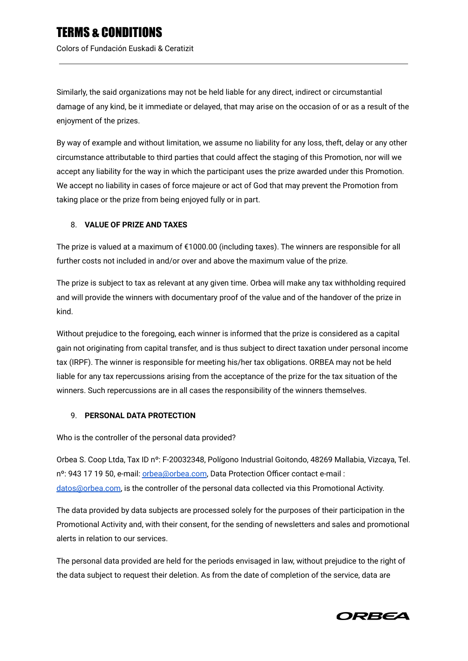Colors of Fundación Euskadi & Ceratizit

Similarly, the said organizations may not be held liable for any direct, indirect or circumstantial damage of any kind, be it immediate or delayed, that may arise on the occasion of or as a result of the enjoyment of the prizes.

By way of example and without limitation, we assume no liability for any loss, theft, delay or any other circumstance attributable to third parties that could affect the staging of this Promotion, nor will we accept any liability for the way in which the participant uses the prize awarded under this Promotion. We accept no liability in cases of force majeure or act of God that may prevent the Promotion from taking place or the prize from being enjoyed fully or in part.

### 8. **VALUE OF PRIZE AND TAXES**

The prize is valued at a maximum of €1000.00 (including taxes). The winners are responsible for all further costs not included in and/or over and above the maximum value of the prize.

The prize is subject to tax as relevant at any given time. Orbea will make any tax withholding required and will provide the winners with documentary proof of the value and of the handover of the prize in kind.

Without prejudice to the foregoing, each winner is informed that the prize is considered as a capital gain not originating from capital transfer, and is thus subject to direct taxation under personal income tax (IRPF). The winner is responsible for meeting his/her tax obligations. ORBEA may not be held liable for any tax repercussions arising from the acceptance of the prize for the tax situation of the winners. Such repercussions are in all cases the responsibility of the winners themselves.

#### 9. **PERSONAL DATA PROTECTION**

Who is the controller of the personal data provided?

Orbea S. Coop Ltda, Tax ID nº: F-20032348, Polígono Industrial Goitondo, 48269 Mallabia, Vizcaya, Tel. nº: 943 17 19 50, e-mail: [orbea@orbea.com](mailto:orbea@orbea.com), Data Protection Officer contact e-mail : [datos@orbea.com,](mailto:datos@orbea.com) is the controller of the personal data collected via this Promotional Activity.

The data provided by data subjects are processed solely for the purposes of their participation in the Promotional Activity and, with their consent, for the sending of newsletters and sales and promotional alerts in relation to our services.

The personal data provided are held for the periods envisaged in law, without prejudice to the right of the data subject to request their deletion. As from the date of completion of the service, data are

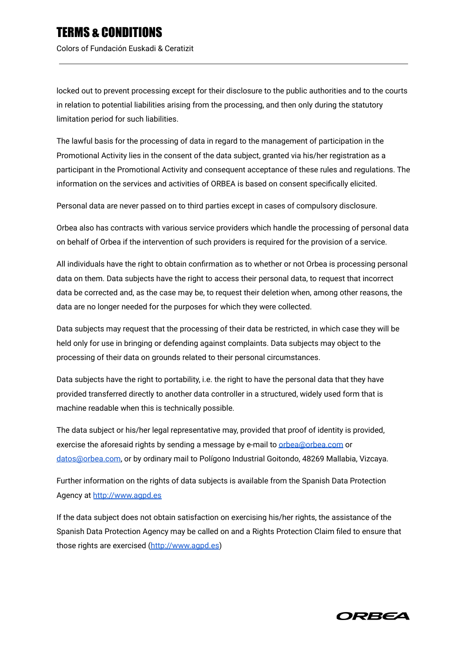Colors of Fundación Euskadi & Ceratizit

locked out to prevent processing except for their disclosure to the public authorities and to the courts in relation to potential liabilities arising from the processing, and then only during the statutory limitation period for such liabilities.

The lawful basis for the processing of data in regard to the management of participation in the Promotional Activity lies in the consent of the data subject, granted via his/her registration as a participant in the Promotional Activity and consequent acceptance of these rules and regulations. The information on the services and activities of ORBEA is based on consent specifically elicited.

Personal data are never passed on to third parties except in cases of compulsory disclosure.

Orbea also has contracts with various service providers which handle the processing of personal data on behalf of Orbea if the intervention of such providers is required for the provision of a service.

All individuals have the right to obtain confirmation as to whether or not Orbea is processing personal data on them. Data subjects have the right to access their personal data, to request that incorrect data be corrected and, as the case may be, to request their deletion when, among other reasons, the data are no longer needed for the purposes for which they were collected.

Data subjects may request that the processing of their data be restricted, in which case they will be held only for use in bringing or defending against complaints. Data subjects may object to the processing of their data on grounds related to their personal circumstances.

Data subjects have the right to portability, i.e. the right to have the personal data that they have provided transferred directly to another data controller in a structured, widely used form that is machine readable when this is technically possible.

The data subject or his/her legal representative may, provided that proof of identity is provided, exercise the aforesaid rights by sending a message by e-mail to [orbea@orbea.com](mailto:orbea@orbea.com) or [datos@orbea.com,](mailto:datos@orbea.com) or by ordinary mail to Polígono Industrial Goitondo, 48269 Mallabia, Vizcaya.

Further information on the rights of data subjects is available from the Spanish Data Protection Agency at [http://www.agpd.es](http://www.agpd.es/)

If the data subject does not obtain satisfaction on exercising his/her rights, the assistance of the Spanish Data Protection Agency may be called on and a Rights Protection Claim filed to ensure that those rights are exercised [\(http://www.agpd.es](http://www.agpd.es/))